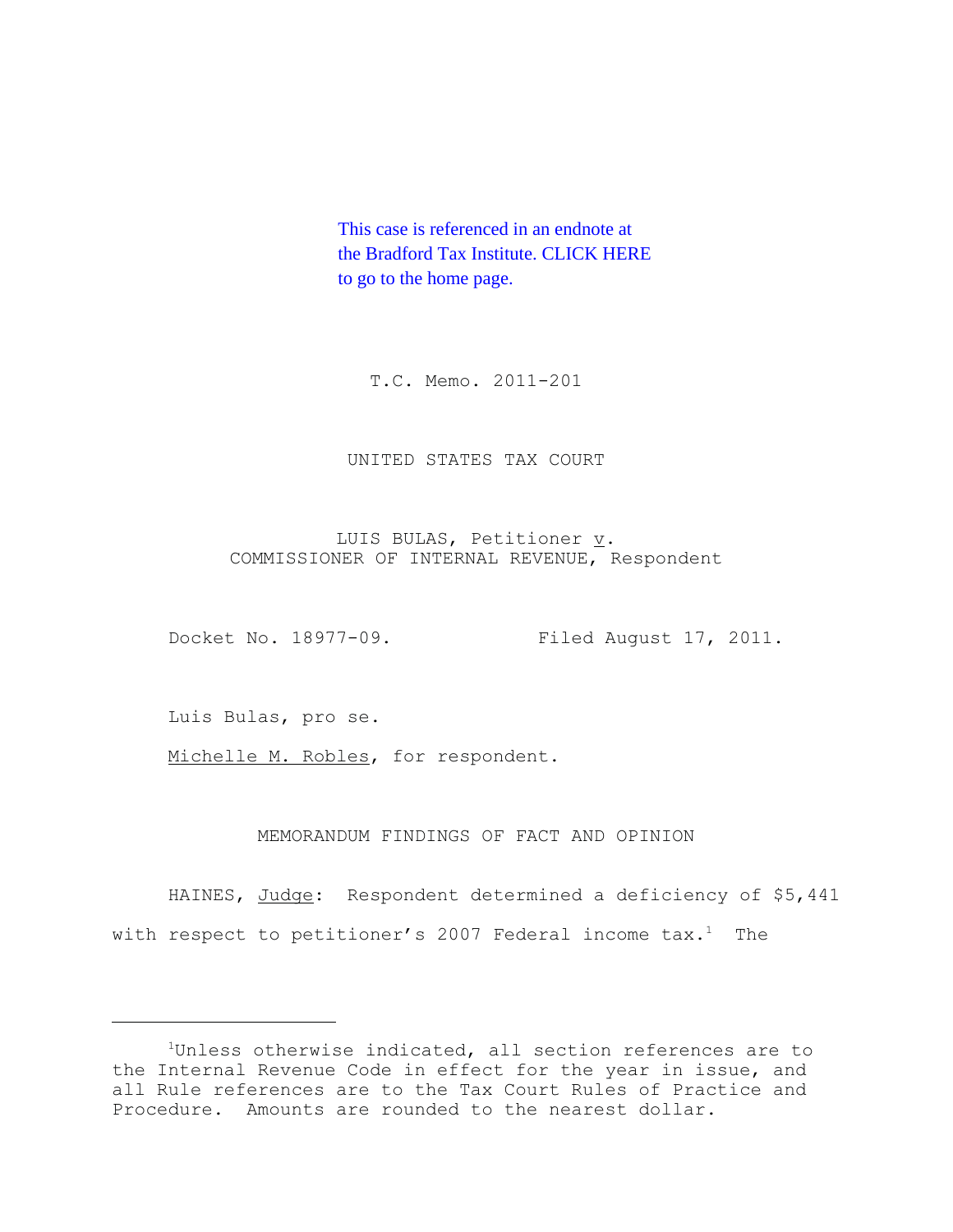This case is referenced in an endnote at [the Bradford Tax Institute. CLICK HERE](http://bradfordtaxinstitute.com/index1.aspx)  to go to the home page.

T.C. Memo. 2011-201

UNITED STATES TAX COURT

LUIS BULAS, Petitioner v. COMMISSIONER OF INTERNAL REVENUE, Respondent

Docket No. 18977-09. Filed August 17, 2011.

Luis Bulas, pro se.

Michelle M. Robles, for respondent.

MEMORANDUM FINDINGS OF FACT AND OPINION

HAINES, Judge: Respondent determined a deficiency of \$5,441 with respect to petitioner's 2007 Federal income  $\text{tax.}^1$  The

<sup>&</sup>lt;sup>1</sup>Unless otherwise indicated, all section references are to the Internal Revenue Code in effect for the year in issue, and all Rule references are to the Tax Court Rules of Practice and Procedure. Amounts are rounded to the nearest dollar.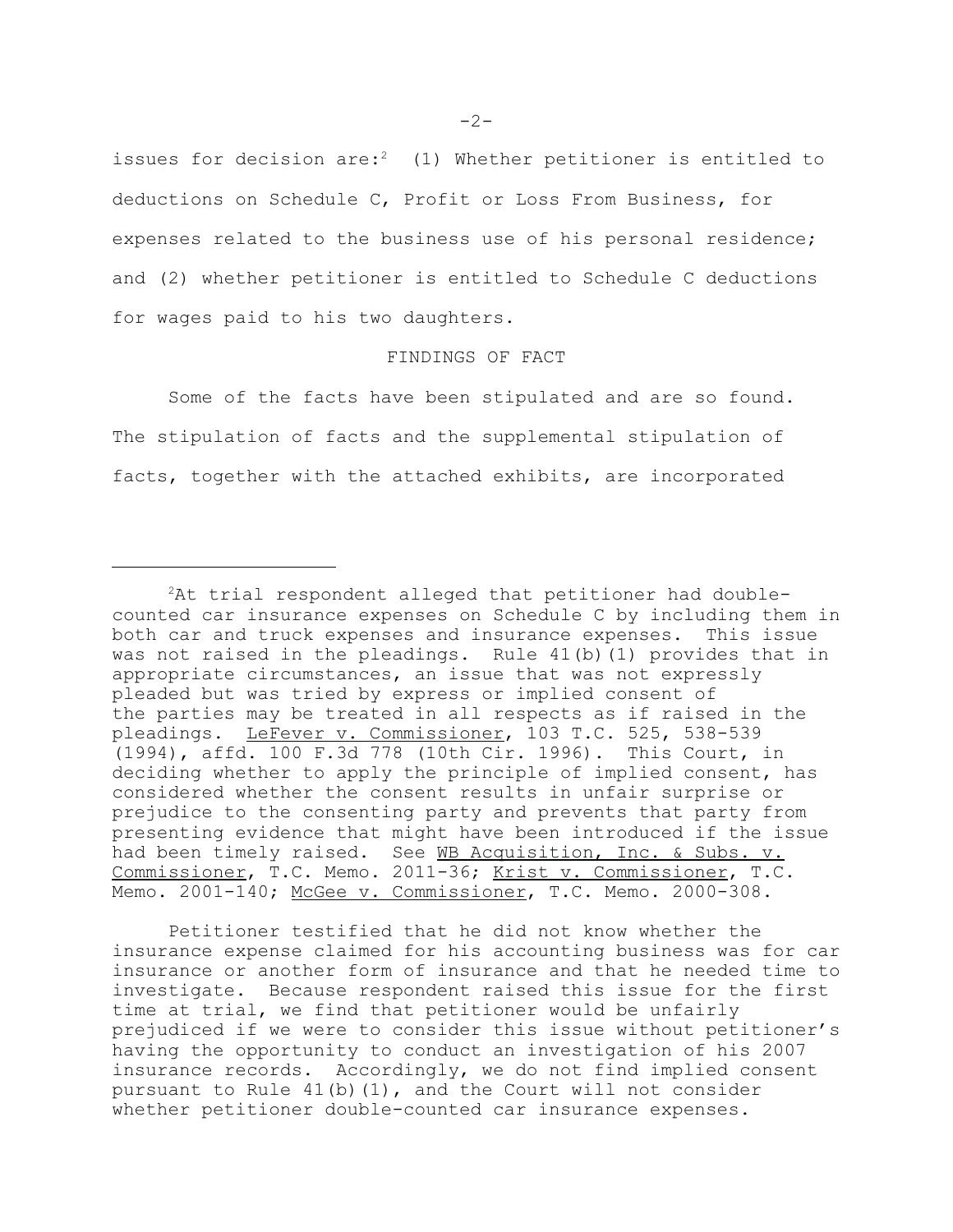$-2-$ 

issues for decision are:<sup>2</sup> (1) Whether petitioner is entitled to deductions on Schedule C, Profit or Loss From Business, for expenses related to the business use of his personal residence; and (2) whether petitioner is entitled to Schedule C deductions for wages paid to his two daughters.

## FINDINGS OF FACT

Some of the facts have been stipulated and are so found. The stipulation of facts and the supplemental stipulation of facts, together with the attached exhibits, are incorporated

Petitioner testified that he did not know whether the insurance expense claimed for his accounting business was for car insurance or another form of insurance and that he needed time to investigate. Because respondent raised this issue for the first time at trial, we find that petitioner would be unfairly prejudiced if we were to consider this issue without petitioner's having the opportunity to conduct an investigation of his 2007 insurance records. Accordingly, we do not find implied consent pursuant to Rule  $41(b)(1)$ , and the Court will not consider whether petitioner double-counted car insurance expenses.

 ${}^{2}$ At trial respondent alleged that petitioner had doublecounted car insurance expenses on Schedule C by including them in both car and truck expenses and insurance expenses. This issue was not raised in the pleadings. Rule 41(b)(1) provides that in appropriate circumstances, an issue that was not expressly pleaded but was tried by express or implied consent of the parties may be treated in all respects as if raised in the pleadings. LeFever v. Commissioner, 103 T.C. 525, 538-539 (1994), affd. 100 F.3d 778 (10th Cir. 1996). This Court, in deciding whether to apply the principle of implied consent, has considered whether the consent results in unfair surprise or prejudice to the consenting party and prevents that party from presenting evidence that might have been introduced if the issue had been timely raised. See WB Acquisition, Inc. & Subs. v. Commissioner, T.C. Memo. 2011-36; Krist v. Commissioner, T.C. Memo. 2001-140; McGee v. Commissioner, T.C. Memo. 2000-308.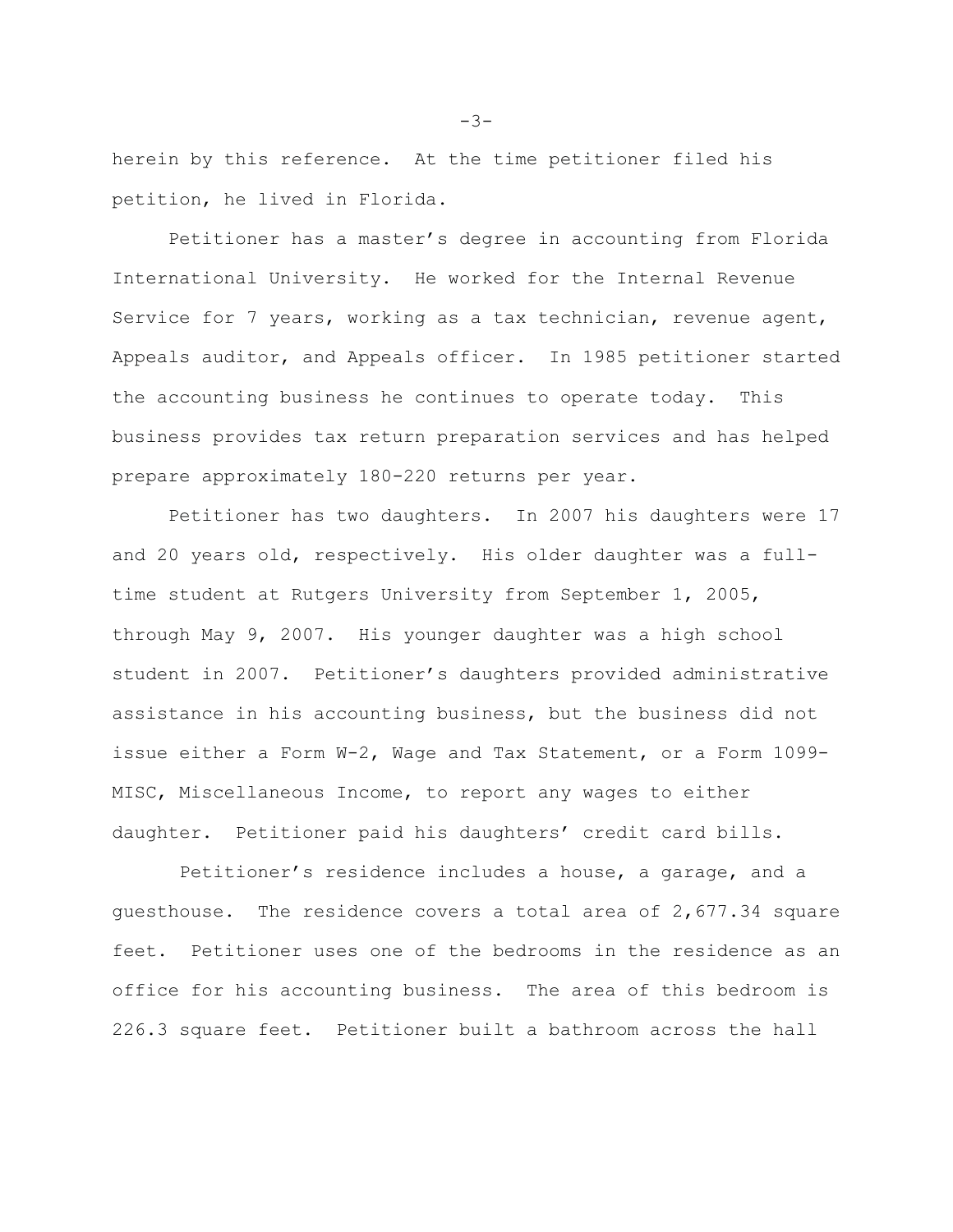herein by this reference. At the time petitioner filed his petition, he lived in Florida.

Petitioner has a master's degree in accounting from Florida International University. He worked for the Internal Revenue Service for 7 years, working as a tax technician, revenue agent, Appeals auditor, and Appeals officer. In 1985 petitioner started the accounting business he continues to operate today. This business provides tax return preparation services and has helped prepare approximately 180-220 returns per year.

Petitioner has two daughters. In 2007 his daughters were 17 and 20 years old, respectively. His older daughter was a fulltime student at Rutgers University from September 1, 2005, through May 9, 2007. His younger daughter was a high school student in 2007. Petitioner's daughters provided administrative assistance in his accounting business, but the business did not issue either a Form W-2, Wage and Tax Statement, or a Form 1099- MISC, Miscellaneous Income, to report any wages to either daughter. Petitioner paid his daughters' credit card bills.

 Petitioner's residence includes a house, a garage, and a guesthouse. The residence covers a total area of 2,677.34 square feet. Petitioner uses one of the bedrooms in the residence as an office for his accounting business. The area of this bedroom is 226.3 square feet. Petitioner built a bathroom across the hall

 $-3-$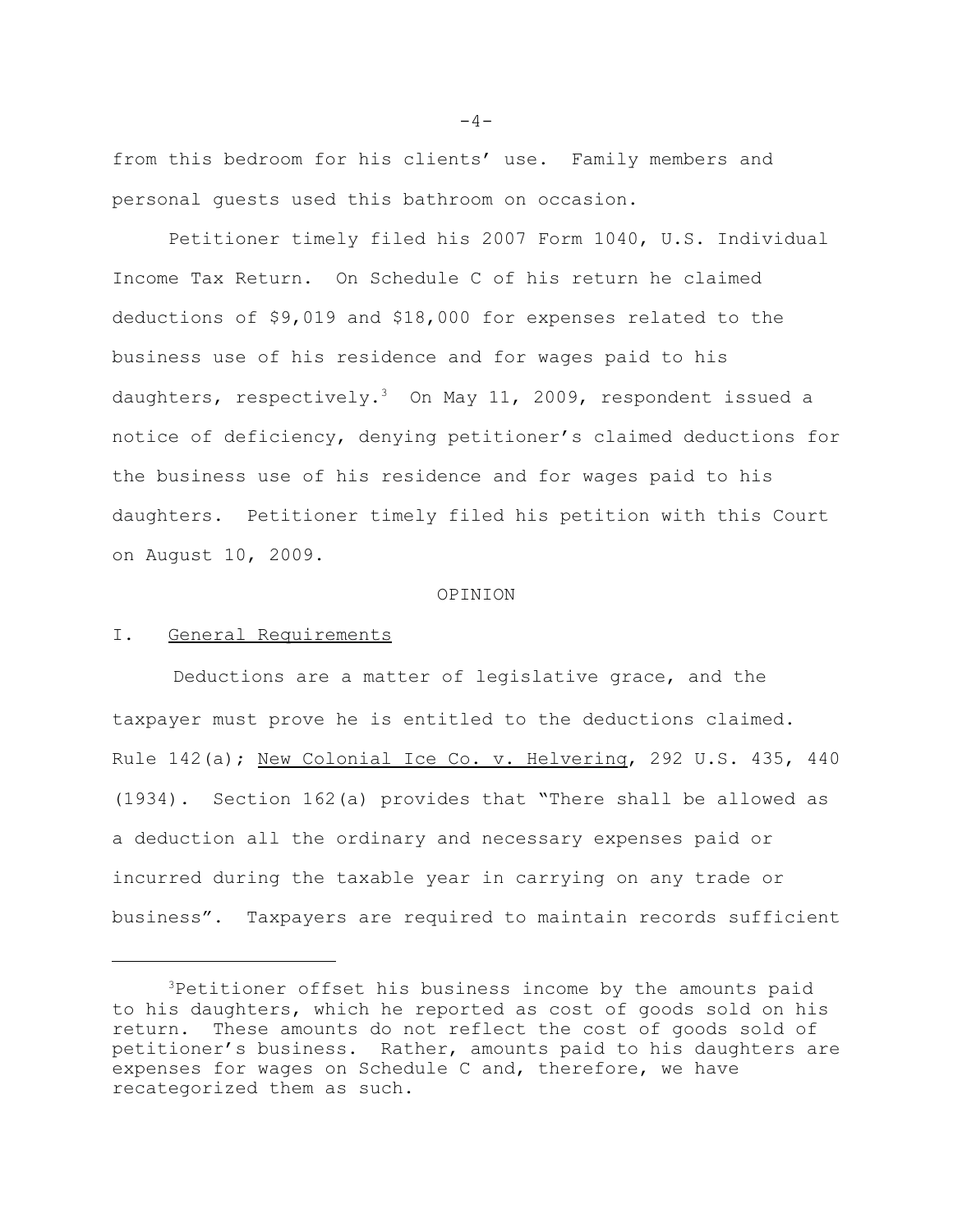from this bedroom for his clients' use. Family members and personal guests used this bathroom on occasion.

Petitioner timely filed his 2007 Form 1040, U.S. Individual Income Tax Return. On Schedule C of his return he claimed deductions of \$9,019 and \$18,000 for expenses related to the business use of his residence and for wages paid to his daughters, respectively.<sup>3</sup> On May 11, 2009, respondent issued a notice of deficiency, denying petitioner's claimed deductions for the business use of his residence and for wages paid to his daughters. Petitioner timely filed his petition with this Court on August 10, 2009.

#### OPINION

# I. General Requirements

Deductions are a matter of legislative grace, and the taxpayer must prove he is entitled to the deductions claimed. Rule 142(a); New Colonial Ice Co. v. Helvering, 292 U.S. 435, 440 (1934). Section 162(a) provides that "There shall be allowed as a deduction all the ordinary and necessary expenses paid or incurred during the taxable year in carrying on any trade or business". Taxpayers are required to maintain records sufficient

 $-4-$ 

<sup>3</sup>Petitioner offset his business income by the amounts paid to his daughters, which he reported as cost of goods sold on his return. These amounts do not reflect the cost of goods sold of petitioner's business. Rather, amounts paid to his daughters are expenses for wages on Schedule C and, therefore, we have recategorized them as such.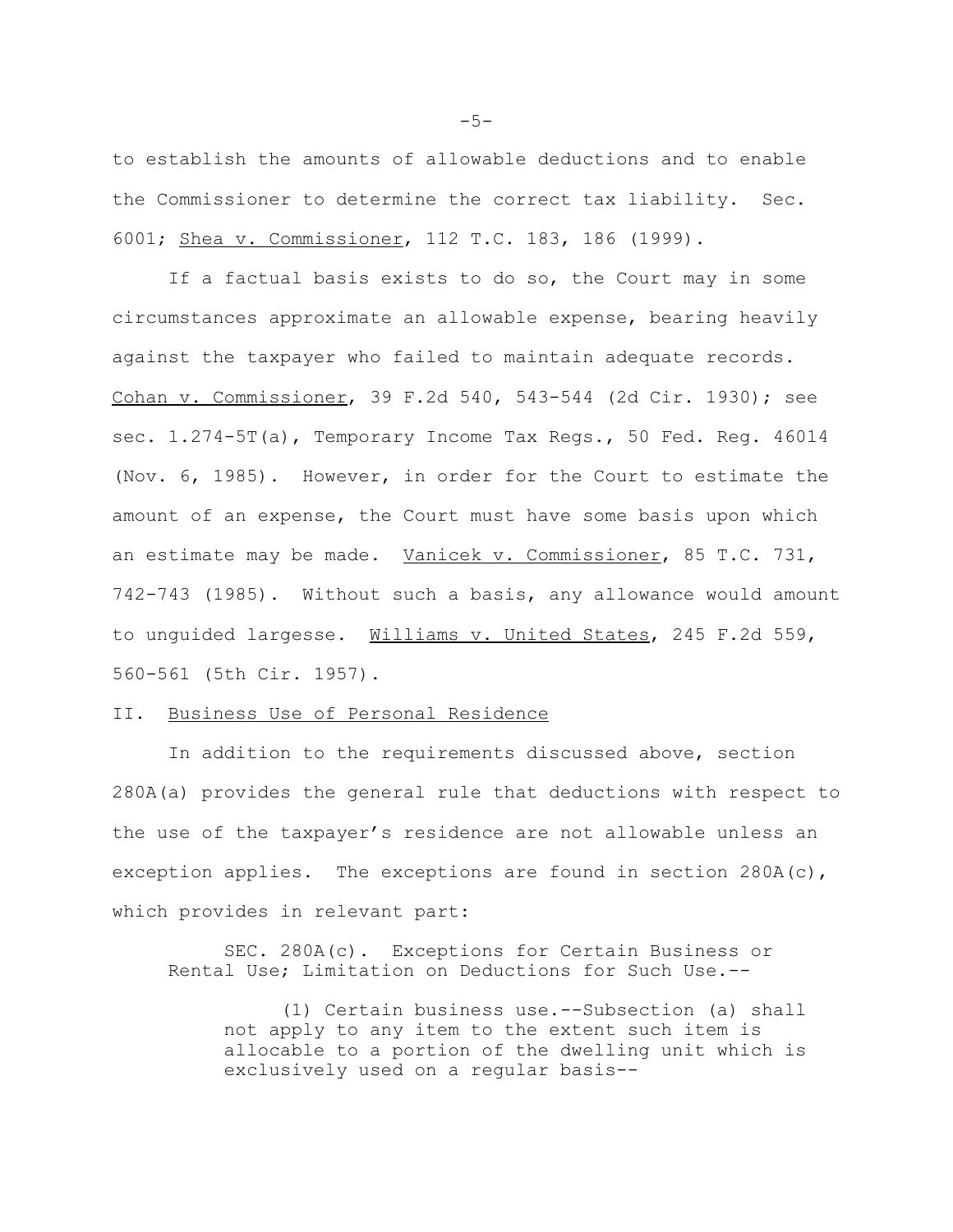to establish the amounts of allowable deductions and to enable the Commissioner to determine the correct tax liability. Sec. 6001; Shea v. Commissioner, 112 T.C. 183, 186 (1999).

If a factual basis exists to do so, the Court may in some circumstances approximate an allowable expense, bearing heavily against the taxpayer who failed to maintain adequate records. Cohan v. Commissioner, 39 F.2d 540, 543-544 (2d Cir. 1930); see sec. 1.274-5T(a), Temporary Income Tax Regs., 50 Fed. Reg. 46014 (Nov. 6, 1985). However, in order for the Court to estimate the amount of an expense, the Court must have some basis upon which an estimate may be made. Vanicek v. Commissioner, 85 T.C. 731, 742-743 (1985). Without such a basis, any allowance would amount to unguided largesse. Williams v. United States, 245 F.2d 559, 560-561 (5th Cir. 1957).

## II. Business Use of Personal Residence

In addition to the requirements discussed above, section 280A(a) provides the general rule that deductions with respect to the use of the taxpayer's residence are not allowable unless an exception applies. The exceptions are found in section  $280A(c)$ , which provides in relevant part:

SEC. 280A(c). Exceptions for Certain Business or Rental Use; Limitation on Deductions for Such Use.--

(1) Certain business use.--Subsection (a) shall not apply to any item to the extent such item is allocable to a portion of the dwelling unit which is exclusively used on a regular basis--

 $-5-$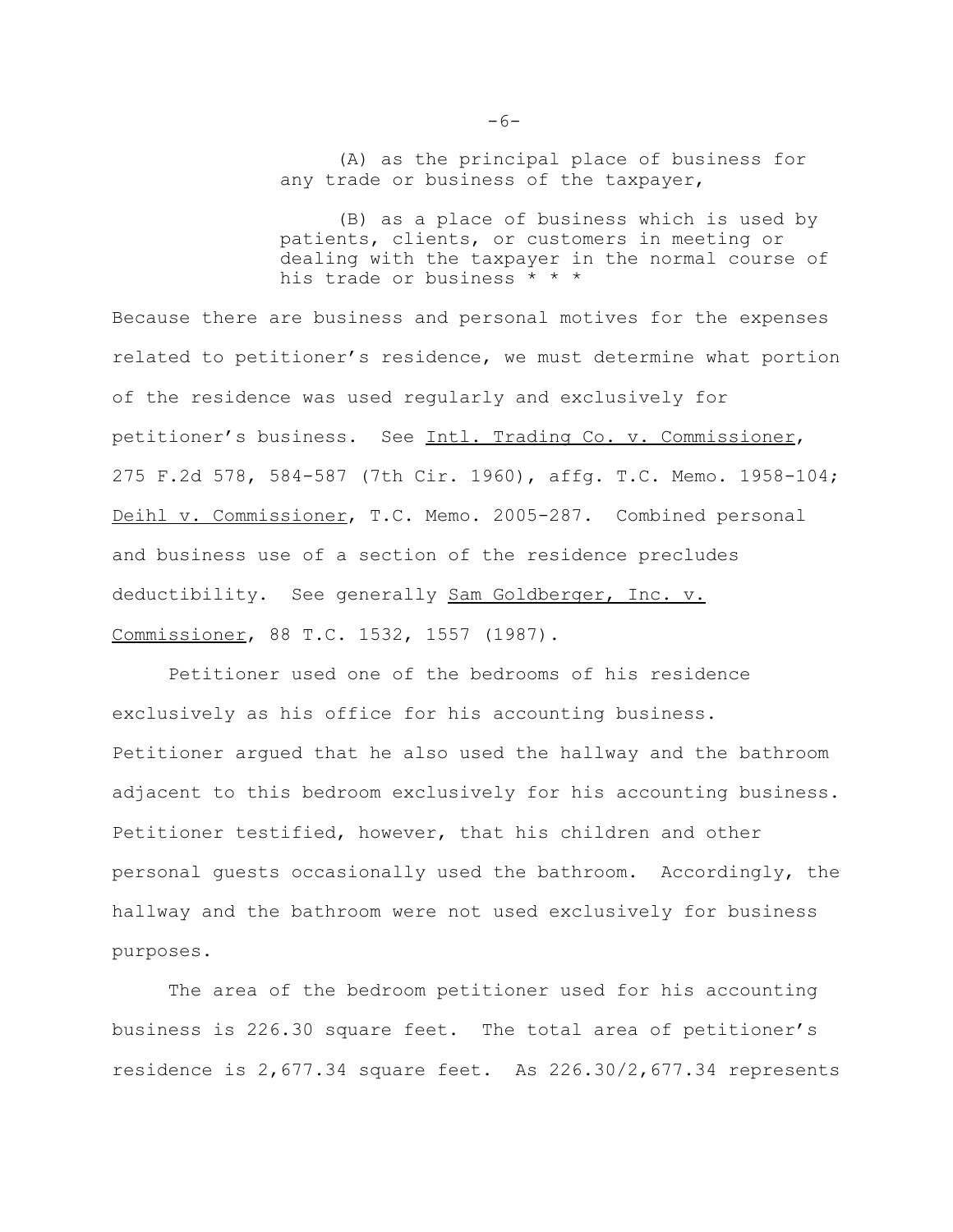(A) as the principal place of business for any trade or business of the taxpayer,

(B) as a place of business which is used by patients, clients, or customers in meeting or dealing with the taxpayer in the normal course of his trade or business \* \* \*

Because there are business and personal motives for the expenses related to petitioner's residence, we must determine what portion of the residence was used regularly and exclusively for petitioner's business. See Intl. Trading Co. v. Commissioner, 275 F.2d 578, 584-587 (7th Cir. 1960), affg. T.C. Memo. 1958-104; Deihl v. Commissioner, T.C. Memo. 2005-287. Combined personal and business use of a section of the residence precludes deductibility. See generally Sam Goldberger, Inc. v. Commissioner, 88 T.C. 1532, 1557 (1987).

Petitioner used one of the bedrooms of his residence exclusively as his office for his accounting business. Petitioner argued that he also used the hallway and the bathroom adjacent to this bedroom exclusively for his accounting business. Petitioner testified, however, that his children and other personal guests occasionally used the bathroom. Accordingly, the hallway and the bathroom were not used exclusively for business purposes.

The area of the bedroom petitioner used for his accounting business is 226.30 square feet. The total area of petitioner's residence is 2,677.34 square feet. As 226.30/2,677.34 represents

 $-6-$